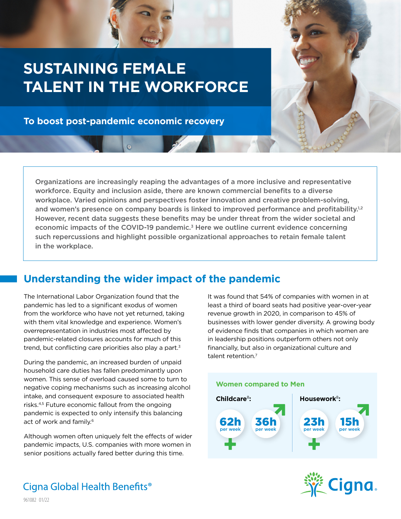### **SUSTAINING FEMALE TALENT IN THE WORKFORCE**

**To boost post-pandemic economic recovery**



Organizations are increasingly reaping the advantages of a more inclusive and representative workforce. Equity and inclusion aside, there are known commercial benefits to a diverse workplace. Varied opinions and perspectives foster innovation and creative problem-solving, and women's presence on company boards is linked to improved performance and profitability.<sup>1,2</sup> However, recent data suggests these benefits may be under threat from the wider societal and economic impacts of the COVID-19 pandemic.<sup>3</sup> Here we outline current evidence concerning such repercussions and highlight possible organizational approaches to retain female talent in the workplace.

### **Understanding the wider impact of the pandemic**

The International Labor Organization found that the pandemic has led to a significant exodus of women from the workforce who have not yet returned, taking with them vital knowledge and experience. Women's overrepresentation in industries most affected by pandemic-related closures accounts for much of this trend, but conflicting care priorities also play a part.3

During the pandemic, an increased burden of unpaid household care duties has fallen predominantly upon women. This sense of overload caused some to turn to negative coping mechanisms such as increasing alcohol intake, and consequent exposure to associated health risks.4,5 Future economic fallout from the ongoing pandemic is expected to only intensify this balancing act of work and family.<sup>6</sup>

Although women often uniquely felt the effects of wider pandemic impacts, U.S. companies with more women in senior positions actually fared better during this time.

It was found that 54% of companies with women in at least a third of board seats had positive year-over-year revenue growth in 2020, in comparison to 45% of businesses with lower gender diversity. A growing body of evidence finds that companies in which women are in leadership positions outperform others not only financially, but also in organizational culture and talent retention.<sup>7</sup>





Cigna Global Health Benefits<sup>®</sup>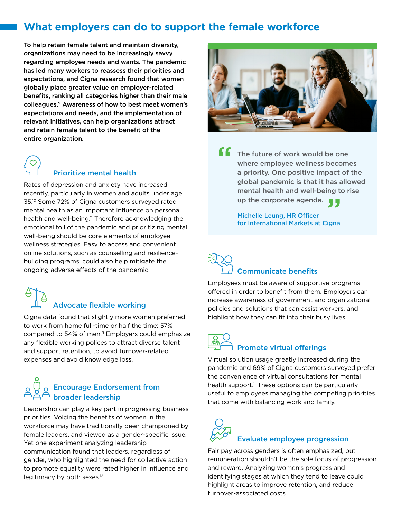#### **What employers can do to support the female workforce**

To help retain female talent and maintain diversity, organizations may need to be increasingly savvy regarding employee needs and wants. The pandemic has led many workers to reassess their priorities and expectations, and Cigna research found that women globally place greater value on employer-related benefits, ranking all categories higher than their male colleagues.9 Awareness of how to best meet women's expectations and needs, and the implementation of relevant initiatives, can help organizations attract and retain female talent to the benefit of the entire organization.



#### Prioritize mental health

Rates of depression and anxiety have increased recently, particularly in women and adults under age 35.10 Some 72% of Cigna customers surveyed rated mental health as an important influence on personal health and well-being.<sup>11</sup> Therefore acknowledging the emotional toll of the pandemic and prioritizing mental well-being should be core elements of employee wellness strategies. Easy to access and convenient online solutions, such as counselling and resiliencebuilding programs, could also help mitigate the ongoing adverse effects of the pandemic.

# Advocate flexible working

Cigna data found that slightly more women preferred to work from home full-time or half the time: 57% compared to 54% of men.9 Employers could emphasize any flexible working polices to attract diverse talent and support retention, to avoid turnover-related expenses and avoid knowledge loss.

### Encourage Endorsement from broader leadership

Leadership can play a key part in progressing business priorities. Voicing the benefits of women in the workforce may have traditionally been championed by female leaders, and viewed as a gender-specific issue. Yet one experiment analyzing leadership communication found that leaders, regardless of gender, who highlighted the need for collective action to promote equality were rated higher in influence and legitimacy by both sexes.<sup>12</sup>



The future of work would be one where employee wellness becomes a priority. One positive impact of the global pandemic is that it has allowed mental health and well-being to rise mental health and well-being to<br>up the corporate agenda. **"**

> Michelle Leung, HR Officer for International Markets at Cigna

### Communicate benefits

Employees must be aware of supportive programs offered in order to benefit from them. Employers can increase awareness of government and organizational policies and solutions that can assist workers, and highlight how they can fit into their busy lives.

## Promote virtual offerings

Virtual solution usage greatly increased during the pandemic and 69% of Cigna customers surveyed prefer the convenience of virtual consultations for mental health support.<sup>11</sup> These options can be particularly useful to employees managing the competing priorities that come with balancing work and family.

## Evaluate employee progression

Fair pay across genders is often emphasized, but remuneration shouldn't be the sole focus of progression and reward. Analyzing women's progress and identifying stages at which they tend to leave could highlight areas to improve retention, and reduce turnover-associated costs.